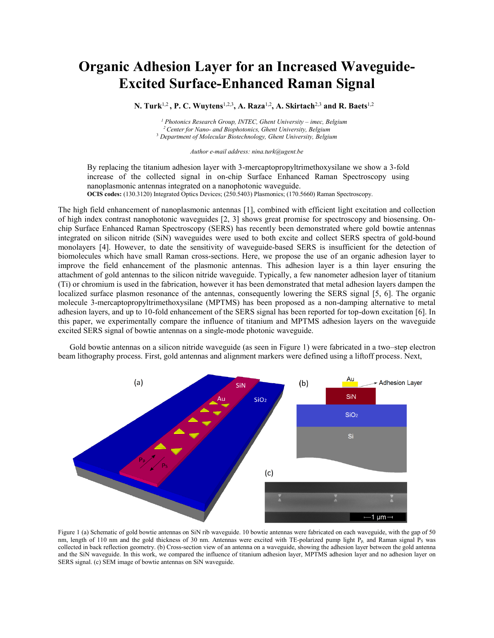## **Organic Adhesion Layer for an Increased Waveguide-Excited Surface-Enhanced Raman Signal**

**N. Turk**1,2 **, P. C. Wuytens**1,2,3 **, A. Raza**1,2 **, A. Skirtach**2,3 **and R. Baets**1,2

*<sup>1</sup> Photonics Research Group, INTEC, Ghent University – imec, Belgium <sup>2</sup>Center for Nano- and Biophotonics, Ghent University, Belgium* <sup>3</sup> *Department of Molecular Biotechnology, Ghent University, Belgium*

*Author e-mail address: nina.turk@ugent.be*

By replacing the titanium adhesion layer with 3-mercaptopropyltrimethoxysilane we show a 3-fold increase of the collected signal in on-chip Surface Enhanced Raman Spectroscopy using nanoplasmonic antennas integrated on a nanophotonic waveguide. **OCIS codes:** (130.3120) Integrated Optics Devices; (250.5403) Plasmonics; (170.5660) Raman Spectroscopy.

The high field enhancement of nanoplasmonic antennas [1], combined with efficient light excitation and collection of high index contrast nanophotonic waveguides [2, 3] shows great promise for spectroscopy and biosensing. Onchip Surface Enhanced Raman Spectroscopy (SERS) has recently been demonstrated where gold bowtie antennas integrated on silicon nitride (SiN) waveguides were used to both excite and collect SERS spectra of gold-bound monolayers [4]. However, to date the sensitivity of waveguide-based SERS is insufficient for the detection of biomolecules which have small Raman cross-sections. Here, we propose the use of an organic adhesion layer to improve the field enhancement of the plasmonic antennas. This adhesion layer is a thin layer ensuring the attachment of gold antennas to the silicon nitride waveguide. Typically, a few nanometer adhesion layer of titanium (Ti) or chromium is used in the fabrication, however it has been demonstrated that metal adhesion layers dampen the localized surface plasmon resonance of the antennas, consequently lowering the SERS signal [5, 6]. The organic molecule 3-mercaptopropyltrimethoxysilane (MPTMS) has been proposed as a non-damping alternative to metal adhesion layers, and up to 10-fold enhancement of the SERS signal has been reported for top-down excitation [6]. In this paper, we experimentally compare the influence of titanium and MPTMS adhesion layers on the waveguide excited SERS signal of bowtie antennas on a single-mode photonic waveguide.

Gold bowtie antennas on a silicon nitride waveguide (as seen in Figure 1) were fabricated in a two–step electron beam lithography process. First, gold antennas and alignment markers were defined using a liftoff process. Next,



Figure 1 (a) Schematic of gold bowtie antennas on SiN rib waveguide. 10 bowtie antennas were fabricated on each waveguide, with the gap of 50 nm, length of 110 nm and the gold thickness of 30 nm. Antennas were excited with TE-polarized pump light P<sub>p</sub>, and Raman signal P<sub>S</sub> was collected in back reflection geometry. (b) Cross-section view of an antenna on a waveguide, showing the adhesion layer between the gold antenna and the SiN waveguide. In this work, we compared the influence of titanium adhesion layer, MPTMS adhesion layer and no adhesion layer on SERS signal. (c) SEM image of bowtie antennas on SiN waveguide.